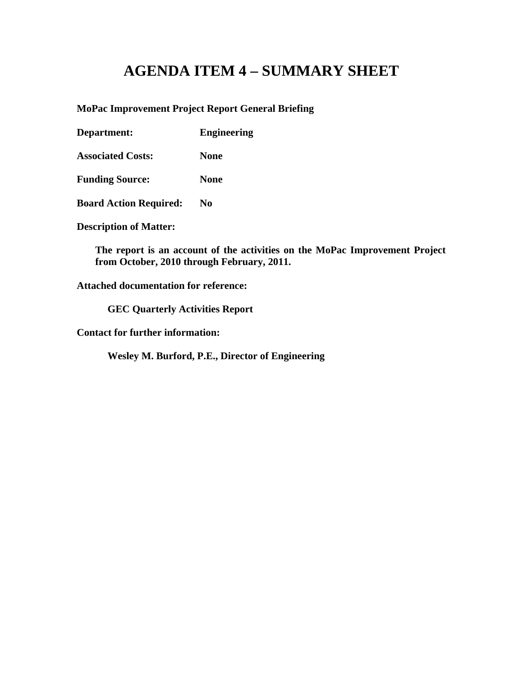### **AGENDA ITEM 4 – SUMMARY SHEET**

#### **MoPac Improvement Project Report General Briefing**

**Department: Engineering**

**Associated Costs: None**

**Funding Source: None**

**Board Action Required: No**

**Description of Matter:**

**The report is an account of the activities on the MoPac Improvement Project from October, 2010 through February, 2011.** 

**Attached documentation for reference:** 

**GEC Quarterly Activities Report**

**Contact for further information:**

**Wesley M. Burford, P.E., Director of Engineering**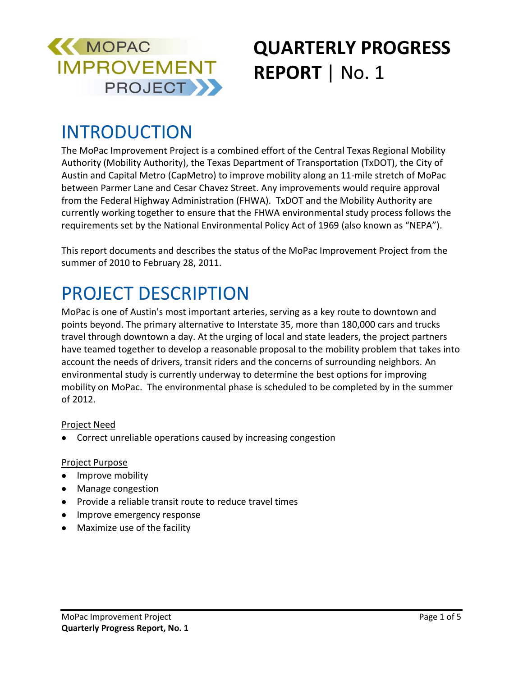

# **QUARTERLY PROGRESS REPORT** | No. 1

### INTRODUCTION

The MoPac Improvement Project is a combined effort of the Central Texas Regional Mobility Authority (Mobility Authority), the Texas Department of Transportation (TxDOT), the City of Austin and Capital Metro (CapMetro) to improve mobility along an 11-mile stretch of MoPac between Parmer Lane and Cesar Chavez Street. Any improvements would require approval from the Federal Highway Administration (FHWA). TxDOT and the Mobility Authority are currently working together to ensure that the FHWA environmental study process follows the requirements set by the National Environmental Policy Act of 1969 (also known as "NEPA").

This report documents and describes the status of the MoPac Improvement Project from the summer of 2010 to February 28, 2011.

### PROJECT DESCRIPTION

MoPac is one of Austin's most important arteries, serving as a key route to downtown and points beyond. The primary alternative to Interstate 35, more than 180,000 cars and trucks travel through downtown a day. At the urging of local and state leaders, the project partners have teamed together to develop a reasonable proposal to the mobility problem that takes into account the needs of drivers, transit riders and the concerns of surrounding neighbors. An environmental study is currently underway to determine the best options for improving mobility on MoPac. The environmental phase is scheduled to be completed by in the summer of 2012.

#### Project Need

Correct unreliable operations caused by increasing congestion

#### Project Purpose

- Improve mobility
- Manage congestion
- Provide a reliable transit route to reduce travel times
- Improve emergency response
- Maximize use of the facility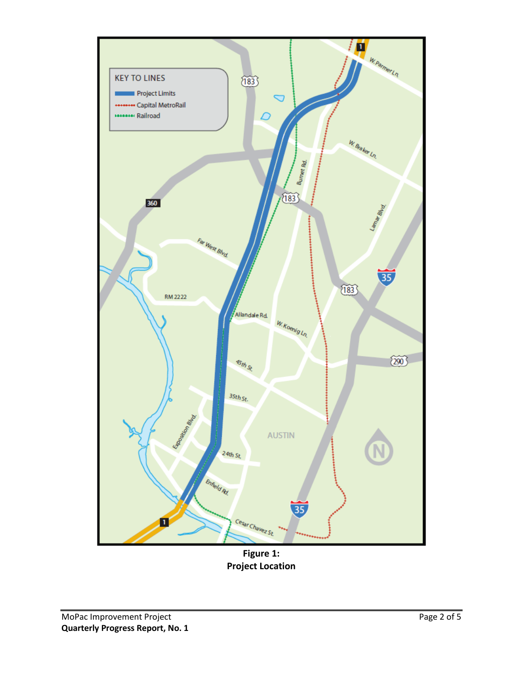

**Figure 1: Project Location**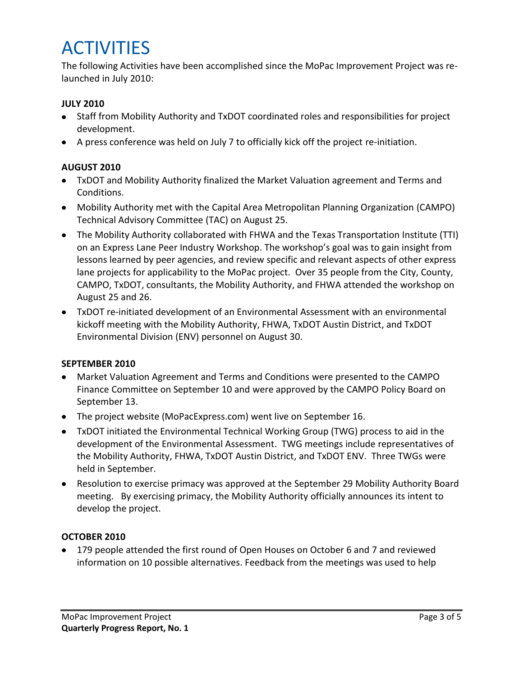### **ACTIVITIES**

The following Activities have been accomplished since the MoPac Improvement Project was relaunched in July 2010:

#### **JULY 2010**

- Staff from Mobility Authority and TxDOT coordinated roles and responsibilities for project development.
- A press conference was held on July 7 to officially kick off the project re-initiation.

#### **AUGUST 2010**

- TxDOT and Mobility Authority finalized the Market Valuation agreement and Terms and Conditions.
- Mobility Authority met with the Capital Area Metropolitan Planning Organization (CAMPO) Technical Advisory Committee (TAC) on August 25.
- The Mobility Authority collaborated with FHWA and the Texas Transportation Institute (TTI) on an Express Lane Peer Industry Workshop. The workshop's goal was to gain insight from lessons learned by peer agencies, and review specific and relevant aspects of other express lane projects for applicability to the MoPac project. Over 35 people from the City, County, CAMPO, TxDOT, consultants, the Mobility Authority, and FHWA attended the workshop on August 25 and 26.
- TxDOT re-initiated development of an Environmental Assessment with an environmental kickoff meeting with the Mobility Authority, FHWA, TxDOT Austin District, and TxDOT Environmental Division (ENV) personnel on August 30.

#### **SEPTEMBER 2010**

- Market Valuation Agreement and Terms and Conditions were presented to the CAMPO Finance Committee on September 10 and were approved by the CAMPO Policy Board on September 13.
- The project website (MoPacExpress.com) went live on September 16.
- TxDOT initiated the Environmental Technical Working Group (TWG) process to aid in the development of the Environmental Assessment. TWG meetings include representatives of the Mobility Authority, FHWA, TxDOT Austin District, and TxDOT ENV. Three TWGs were held in September.
- Resolution to exercise primacy was approved at the September 29 Mobility Authority Board meeting. By exercising primacy, the Mobility Authority officially announces its intent to develop the project.

#### **OCTOBER 2010**

179 people attended the first round of Open Houses on October 6 and 7 and reviewed information on 10 possible alternatives. Feedback from the meetings was used to help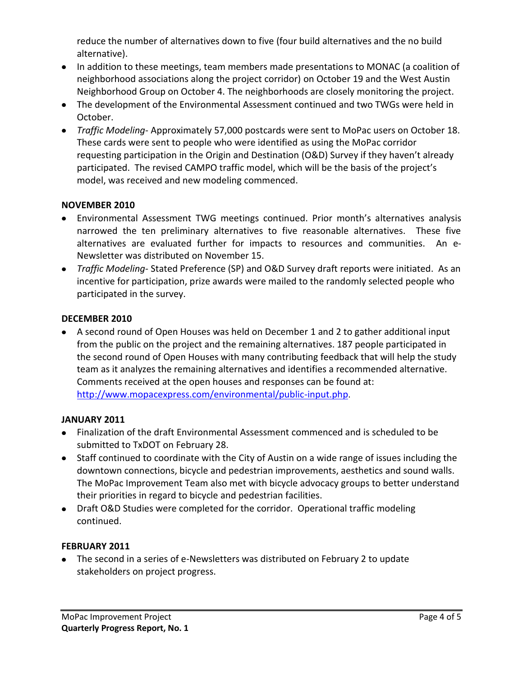reduce the number of alternatives down to five (four build alternatives and the no build alternative).

- In addition to these meetings, team members made presentations to MONAC (a coalition of neighborhood associations along the project corridor) on October 19 and the West Austin Neighborhood Group on October 4. The neighborhoods are closely monitoring the project.
- The development of the Environmental Assessment continued and two TWGs were held in October.
- *Traffic Modeling* Approximately 57,000 postcards were sent to MoPac users on October 18. These cards were sent to people who were identified as using the MoPac corridor requesting participation in the Origin and Destination (O&D) Survey if they haven't already participated. The revised CAMPO traffic model, which will be the basis of the project's model, was received and new modeling commenced.

#### **NOVEMBER 2010**

- Environmental Assessment TWG meetings continued. Prior month's alternatives analysis narrowed the ten preliminary alternatives to five reasonable alternatives. These five alternatives are evaluated further for impacts to resources and communities. An e-Newsletter was distributed on November 15.
- *Traffic Modeling* Stated Preference (SP) and O&D Survey draft reports were initiated. As an incentive for participation, prize awards were mailed to the randomly selected people who participated in the survey.

#### **DECEMBER 2010**

A second round of Open Houses was held on December 1 and 2 to gather additional input from the public on the project and the remaining alternatives. 187 people participated in the second round of Open Houses with many contributing feedback that will help the study team as it analyzes the remaining alternatives and identifies a recommended alternative. Comments received at the open houses and responses can be found at: <http://www.mopacexpress.com/environmental/public-input.php>.

#### **JANUARY 2011**

- Finalization of the draft Environmental Assessment commenced and is scheduled to be submitted to TxDOT on February 28.
- Staff continued to coordinate with the City of Austin on a wide range of issues including the downtown connections, bicycle and pedestrian improvements, aesthetics and sound walls. The MoPac Improvement Team also met with bicycle advocacy groups to better understand their priorities in regard to bicycle and pedestrian facilities.
- Draft O&D Studies were completed for the corridor. Operational traffic modeling continued.

#### **FEBRUARY 2011**

The second in a series of e-Newsletters was distributed on February 2 to update stakeholders on project progress.